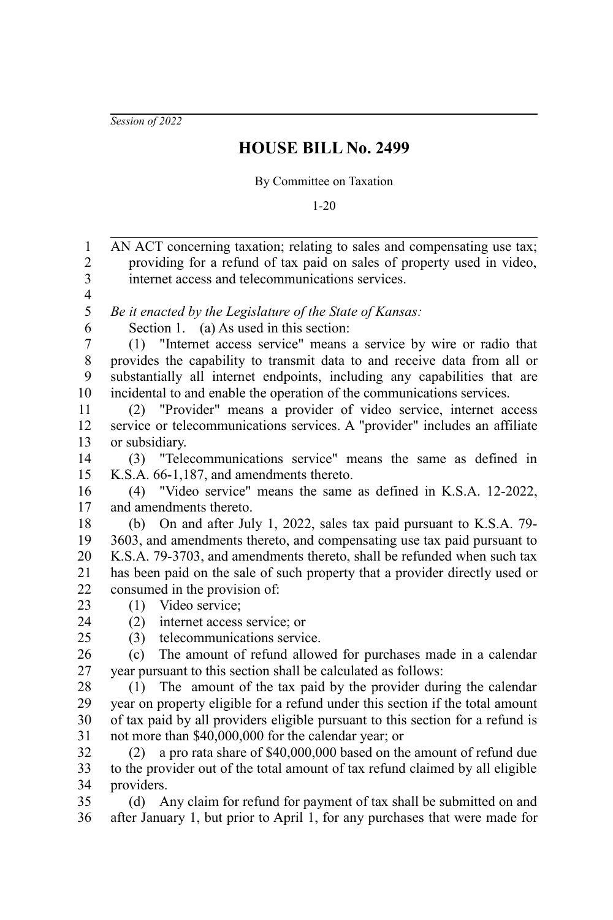*Session of 2022*

## **HOUSE BILL No. 2499**

## By Committee on Taxation

1-20

AN ACT concerning taxation; relating to sales and compensating use tax; providing for a refund of tax paid on sales of property used in video, internet access and telecommunications services. *Be it enacted by the Legislature of the State of Kansas:* Section 1. (a) As used in this section: (1) "Internet access service" means a service by wire or radio that provides the capability to transmit data to and receive data from all or substantially all internet endpoints, including any capabilities that are incidental to and enable the operation of the communications services. (2) "Provider" means a provider of video service, internet access service or telecommunications services. A "provider" includes an affiliate or subsidiary. (3) "Telecommunications service" means the same as defined in K.S.A. 66-1,187, and amendments thereto. (4) "Video service" means the same as defined in K.S.A. 12-2022, and amendments thereto. (b) On and after July 1, 2022, sales tax paid pursuant to K.S.A. 79- 3603, and amendments thereto, and compensating use tax paid pursuant to K.S.A. 79-3703, and amendments thereto, shall be refunded when such tax has been paid on the sale of such property that a provider directly used or consumed in the provision of: (1) Video service; (2) internet access service; or (3) telecommunications service. (c) The amount of refund allowed for purchases made in a calendar year pursuant to this section shall be calculated as follows: (1) The amount of the tax paid by the provider during the calendar year on property eligible for a refund under this section if the total amount of tax paid by all providers eligible pursuant to this section for a refund is not more than \$40,000,000 for the calendar year; or (2) a pro rata share of \$40,000,000 based on the amount of refund due to the provider out of the total amount of tax refund claimed by all eligible providers. (d) Any claim for refund for payment of tax shall be submitted on and after January 1, but prior to April 1, for any purchases that were made for 1 2 3 4 5 6 7 8 9 10 11 12 13 14 15 16 17 18 19 20 21 22 23  $24$ 25 26 27 28 29 30 31 32 33 34 35 36